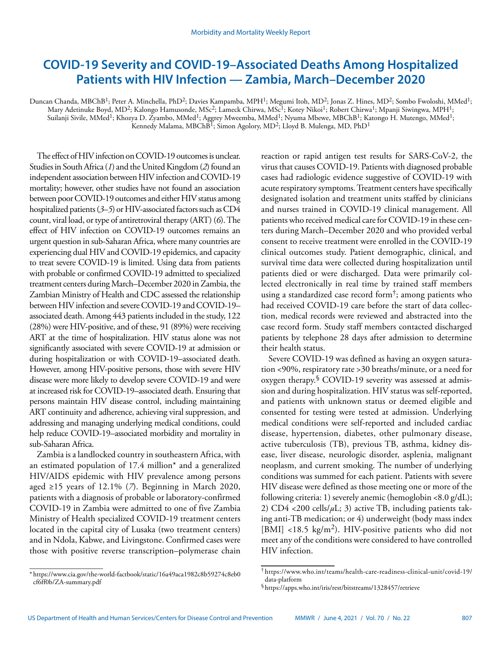# **COVID-19 Severity and COVID-19–Associated Deaths Among Hospitalized Patients with HIV Infection — Zambia, March–December 2020**

Duncan Chanda, MBChB<sup>1</sup>; Peter A. Minchella, PhD<sup>2</sup>; Davies Kampamba, MPH<sup>1</sup>; Megumi Itoh, MD<sup>2</sup>; Jonas Z. Hines, MD<sup>2</sup>; Sombo Fwoloshi, MMed<sup>1</sup>; Mary Adetinuke Boyd, MD<sup>2</sup>; Kalongo Hamusonde, MSc<sup>2</sup>; Lameck Chirwa, MSc<sup>1</sup>; Kotey Nikoi<sup>1</sup>; Robert Chirwa<sup>1</sup>; Mpanji Siwingwa, MPH<sup>1</sup>; Suilanji Sivile, MMed<sup>1</sup>; Khozya D. Žyambo, MMed<sup>1</sup>; Aggrey Mweemba, MMed<sup>1</sup>; Nyuma Mbewe, MBChB<sup>1</sup>; Katongo H. Mutengo, MMed<sup>1</sup>; Kennedy Malama, MBChB<sup>I</sup>; Simon Agolory, MD<sup>2</sup>; Lloyd B. Mulenga, MD, PhD<sup>1</sup>

The effect of HIV infection on COVID-19 outcomes is unclear. Studies in South Africa (*1*) and the United Kingdom (*2*) found an independent association between HIV infection and COVID-19 mortality; however, other studies have not found an association between poor COVID-19 outcomes and either HIV status among hospitalized patients (*3*–*5*) or HIV-associated factors such as CD4 count, viral load, or type of antiretroviral therapy (ART) (*6*). The effect of HIV infection on COVID-19 outcomes remains an urgent question in sub-Saharan Africa, where many countries are experiencing dual HIV and COVID-19 epidemics, and capacity to treat severe COVID-19 is limited. Using data from patients with probable or confirmed COVID-19 admitted to specialized treatment centers during March–December 2020 in Zambia, the Zambian Ministry of Health and CDC assessed the relationship between HIV infection and severe COVID-19 and COVID-19– associated death. Among 443 patients included in the study, 122 (28%) were HIV-positive, and of these, 91 (89%) were receiving ART at the time of hospitalization. HIV status alone was not significantly associated with severe COVID-19 at admission or during hospitalization or with COVID-19–associated death. However, among HIV-positive persons, those with severe HIV disease were more likely to develop severe COVID-19 and were at increased risk for COVID-19–associated death. Ensuring that persons maintain HIV disease control, including maintaining ART continuity and adherence, achieving viral suppression, and addressing and managing underlying medical conditions, could help reduce COVID-19–associated morbidity and mortality in sub-Saharan Africa.

Zambia is a landlocked country in southeastern Africa, with an estimated population of 17.4 million\* and a generalized HIV/AIDS epidemic with HIV prevalence among persons aged ≥15 years of 12.1% (*7*). Beginning in March 2020, patients with a diagnosis of probable or laboratory-confirmed COVID-19 in Zambia were admitted to one of five Zambia Ministry of Health specialized COVID-19 treatment centers located in the capital city of Lusaka (two treatment centers) and in Ndola, Kabwe, and Livingstone. Confirmed cases were those with positive reverse transcription–polymerase chain reaction or rapid antigen test results for SARS-CoV-2, the virus that causes COVID-19. Patients with diagnosed probable cases had radiologic evidence suggestive of COVID-19 with acute respiratory symptoms. Treatment centers have specifically designated isolation and treatment units staffed by clinicians and nurses trained in COVID-19 clinical management. All patients who received medical care for COVID-19 in these centers during March–December 2020 and who provided verbal consent to receive treatment were enrolled in the COVID-19 clinical outcomes study. Patient demographic, clinical, and survival time data were collected during hospitalization until patients died or were discharged. Data were primarily collected electronically in real time by trained staff members using a standardized case record form<sup> $\dagger$ </sup>; among patients who had received COVID-19 care before the start of data collection, medical records were reviewed and abstracted into the case record form. Study staff members contacted discharged patients by telephone 28 days after admission to determine their health status.

Severe COVID-19 was defined as having an oxygen saturation <90%, respiratory rate >30 breaths/minute, or a need for oxygen therapy.<sup>§</sup> COVID-19 severity was assessed at admission and during hospitalization. HIV status was self-reported, and patients with unknown status or deemed eligible and consented for testing were tested at admission. Underlying medical conditions were self-reported and included cardiac disease, hypertension, diabetes, other pulmonary disease, active tuberculosis (TB), previous TB, asthma, kidney disease, liver disease, neurologic disorder, asplenia, malignant neoplasm, and current smoking. The number of underlying conditions was summed for each patient. Patients with severe HIV disease were defined as those meeting one or more of the following criteria: 1) severely anemic (hemoglobin <8.0 g/dL); 2) CD4  $<$ 200 cells/ $\mu$ L; 3) active TB, including patients taking anti-TB medication; or 4) underweight (body mass index [BMI] <18.5 kg/m<sup>2</sup>). HIV-positive patients who did not meet any of the conditions were considered to have controlled HIV infection.

<sup>\*</sup> [https://www.cia.gov/the-world-factbook/static/16a49aca1982c8b59274c8eb0](https://www.cia.gov/the-world-factbook/static/16a49aca1982c8b59274c8eb0cf6ff0b/ZA-summary.pdf) [cf6ff0b/ZA-summary.pdf](https://www.cia.gov/the-world-factbook/static/16a49aca1982c8b59274c8eb0cf6ff0b/ZA-summary.pdf)

<sup>†</sup> [https://www.who.int/teams/health-care-readiness-clinical-unit/covid-19/](https://www.who.int/teams/health-care-readiness-clinical-unit/covid-19/data-platform) [data-platform](https://www.who.int/teams/health-care-readiness-clinical-unit/covid-19/data-platform)

<sup>§</sup><https://apps.who.int/iris/rest/bitstreams/1328457/retrieve>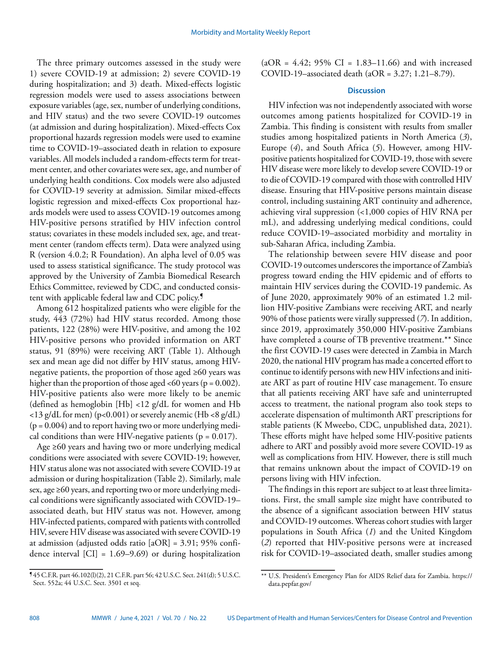The three primary outcomes assessed in the study were 1) severe COVID-19 at admission; 2) severe COVID-19 during hospitalization; and 3) death. Mixed-effects logistic regression models were used to assess associations between exposure variables (age, sex, number of underlying conditions, and HIV status) and the two severe COVID-19 outcomes (at admission and during hospitalization). Mixed-effects Cox proportional hazards regression models were used to examine time to COVID-19–associated death in relation to exposure variables. All models included a random-effects term for treatment center, and other covariates were sex, age, and number of underlying health conditions. Cox models were also adjusted for COVID-19 severity at admission. Similar mixed-effects logistic regression and mixed-effects Cox proportional hazards models were used to assess COVID-19 outcomes among HIV-positive persons stratified by HIV infection control status; covariates in these models included sex, age, and treatment center (random effects term). Data were analyzed using R (version 4.0.2; R Foundation). An alpha level of 0.05 was used to assess statistical significance. The study protocol was approved by the University of Zambia Biomedical Research Ethics Committee, reviewed by CDC, and conducted consistent with applicable federal law and CDC policy.<sup>9</sup>

Among 612 hospitalized patients who were eligible for the study, 443 (72%) had HIV status recorded. Among those patients, 122 (28%) were HIV-positive, and among the 102 HIV-positive persons who provided information on ART status, 91 (89%) were receiving ART (Table 1). Although sex and mean age did not differ by HIV status, among HIVnegative patients, the proportion of those aged ≥60 years was higher than the proportion of those aged <60 years ( $p = 0.002$ ). HIV-positive patients also were more likely to be anemic (defined as hemoglobin [Hb] <12 g/dL for women and Hb  $<$ 13 g/dL for men) (p<0.001) or severely anemic (Hb <8 g/dL)  $(p = 0.004)$  and to report having two or more underlying medical conditions than were HIV-negative patients ( $p = 0.017$ ).

Age ≥60 years and having two or more underlying medical conditions were associated with severe COVID-19; however, HIV status alone was not associated with severe COVID-19 at admission or during hospitalization (Table 2). Similarly, male sex, age ≥60 years, and reporting two or more underlying medical conditions were significantly associated with COVID-19– associated death, but HIV status was not. However, among HIV-infected patients, compared with patients with controlled HIV, severe HIV disease was associated with severe COVID-19 at admission (adjusted odds ratio [aOR] = 3.91; 95% confidence interval [CI] = 1.69–9.69) or during hospitalization  $(aOR = 4.42; 95\% CI = 1.83-11.66)$  and with increased COVID-19–associated death (aOR = 3.27; 1.21–8.79).

# **Discussion**

HIV infection was not independently associated with worse outcomes among patients hospitalized for COVID-19 in Zambia. This finding is consistent with results from smaller studies among hospitalized patients in North America (*3*), Europe (*4*), and South Africa (*5*). However, among HIVpositive patients hospitalized for COVID-19, those with severe HIV disease were more likely to develop severe COVID-19 or to die of COVID-19 compared with those with controlled HIV disease. Ensuring that HIV-positive persons maintain disease control, including sustaining ART continuity and adherence, achieving viral suppression (<1,000 copies of HIV RNA per mL), and addressing underlying medical conditions, could reduce COVID-19–associated morbidity and mortality in sub-Saharan Africa, including Zambia.

The relationship between severe HIV disease and poor COVID-19 outcomes underscores the importance of Zambia's progress toward ending the HIV epidemic and of efforts to maintain HIV services during the COVID-19 pandemic. As of June 2020, approximately 90% of an estimated 1.2 million HIV-positive Zambians were receiving ART, and nearly 90% of those patients were virally suppressed (*7*). In addition, since 2019, approximately 350,000 HIV-positive Zambians have completed a course of TB preventive treatment.\*\* Since the first COVID-19 cases were detected in Zambia in March 2020, the national HIV program has made a concerted effort to continue to identify persons with new HIV infections and initiate ART as part of routine HIV case management. To ensure that all patients receiving ART have safe and uninterrupted access to treatment, the national program also took steps to accelerate dispensation of multimonth ART prescriptions for stable patients (K Mweebo, CDC, unpublished data, 2021). These efforts might have helped some HIV-positive patients adhere to ART and possibly avoid more severe COVID-19 as well as complications from HIV. However, there is still much that remains unknown about the impact of COVID-19 on persons living with HIV infection.

The findings in this report are subject to at least three limitations. First, the small sample size might have contributed to the absence of a significant association between HIV status and COVID-19 outcomes. Whereas cohort studies with larger populations in South Africa (*1*) and the United Kingdom (*2*) reported that HIV-positive persons were at increased risk for COVID-19–associated death, smaller studies among

\*\* U.S. President's Emergency Plan for AIDS Relief data for Zambia. [https://](https://data.pepfar.gov/)

[data.pepfar.gov/](https://data.pepfar.gov/)

<sup>¶</sup> 45 C.F.R. part 46.102(l)(2), 21 C.F.R. part 56; 42 U.S.C. Sect. 241(d); 5 U.S.C. Sect. 552a; 44 U.S.C. Sect. 3501 et seq.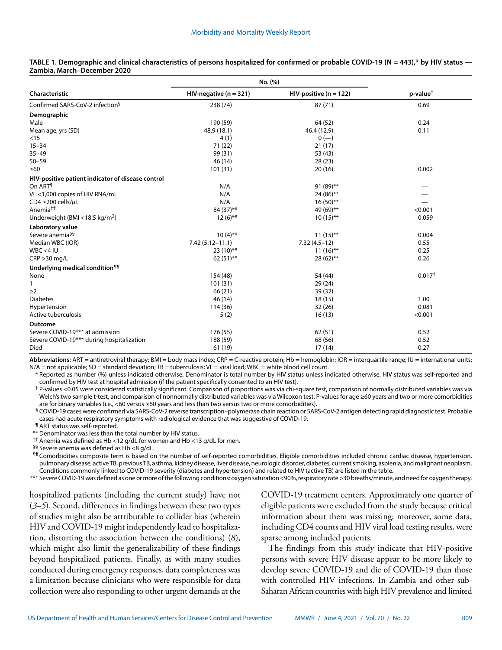|                                                   | No. (%)                    |                           |                      |
|---------------------------------------------------|----------------------------|---------------------------|----------------------|
| Characteristic                                    | HIV-negative ( $n = 321$ ) | $HIV$ -positive (n = 122) | p-value <sup>t</sup> |
| Confirmed SARS-CoV-2 infection <sup>§</sup>       | 238 (74)                   | 87(71)                    | 0.69                 |
| Demographic                                       |                            |                           |                      |
| Male                                              | 190 (59)                   | 64 (52)                   | 0.24                 |
| Mean age, yrs (SD)                                | 48.9 (18.1)                | 46.4 (12.9)               | 0.11                 |
| $<$ 15                                            | 4(1)                       | $0 (-)$                   |                      |
| $15 - 34$                                         | 71 (22)                    | 21(17)                    |                      |
| $35 - 49$                                         | 99 (31)                    | 53 (43)                   |                      |
| $50 - 59$                                         | 46 (14)                    | 28(23)                    |                      |
| $\geq 60$                                         | 101(31)                    | 20(16)                    | 0.002                |
| HIV-positive patient indicator of disease control |                            |                           |                      |
| On ART <sup>¶</sup>                               | N/A                        | 91 (89)**                 |                      |
| VL <1,000 copies of HIV RNA/mL                    | N/A                        | 24 (86)**                 |                      |
| CD4 $\geq$ 200 cells/ $\mu$ L                     | N/A                        | $16(50)$ **               |                      |
| Anemia <sup>††</sup>                              | 84 (37)**                  | 49 (69)**                 | < 0.001              |
| Underweight (BMI <18.5 kg/m <sup>2</sup> )        | $12(6)$ **                 | $10(15)$ **               | 0.059                |
| Laboratory value                                  |                            |                           |                      |
| Severe anemia <sup>§§</sup>                       | $10(4)$ **                 | $11(15)$ **               | 0.004                |
| Median WBC (IQR)                                  | $7.42(5.12 - 11.1)$        | $7.32(4.5-12)$            | 0.55                 |
| $WBC < 4$ IU                                      | $23(10)$ **                | $11(16)$ **               | 0.25                 |
| $CRP > 30$ mg/L                                   | $62(51)$ **                | 28 (62)**                 | 0.26                 |
| Underlying medical condition <sup>11</sup>        |                            |                           |                      |
| None                                              | 154 (48)                   | 54 (44)                   | 0.017 <sup>†</sup>   |
| 1                                                 | 101(31)                    | 29 (24)                   |                      |
| $\geq$ 2                                          | 66 (21)                    | 39 (32)                   |                      |
| <b>Diabetes</b>                                   | 46 (14)                    | 18(15)                    | 1.00                 |
| Hypertension                                      | 114(36)                    | 32(26)                    | 0.081                |
| Active tuberculosis                               | 5(2)                       | 16(13)                    | < 0.001              |
| Outcome                                           |                            |                           |                      |
| Severe COVID-19*** at admission                   | 176 (55)                   | 62(51)                    | 0.52                 |
| Severe COVID-19*** during hospitalization         | 188 (59)                   | 68 (56)                   | 0.52                 |
| Died                                              | 61 (19)                    | 17(14)                    | 0.27                 |
|                                                   |                            |                           |                      |

## **TABLE 1. Demographic and clinical characteristics of persons hospitalized for confirmed or probable COVID-19 (N = 443),\* by HIV status — Zambia, March–December 2020**

**Abbreviations:** ART = antiretroviral therapy; BMI = body mass index; CRP = C-reactive protein; Hb = hemoglobin; IQR = interquartile range; IU = international units;  $N/A$  = not applicable; SD = standard deviation; TB = tuberculosis;  $VL$  = viral load; WBC = white blood cell count.

\* Reported as number (%) unless indicated otherwise. Denominator is total number by HIV status unless indicated otherwise. HIV status was self-reported and confirmed by HIV test at hospital admission (if the patient specifically consented to an HIV test).

† P-values <0.05 were considered statistically significant. Comparison of proportions was via chi-square test, comparison of normally distributed variables was via Welch's two sample t-test, and comparison of nonnormally distributed variables was via Wilcoxon test. P-values for age ≥60 years and two or more comorbidities are for binary variables (i.e., <60 versus ≥60 years and less than two versus two or more comorbidities).

§ COVID-19 cases were confirmed via SARS-CoV-2 reverse transcription-polymerase chain reaction or SARS-CoV-2 antigen detecting rapid diagnostic test. Probable cases had acute respiratory symptoms with radiological evidence that was suggestive of COVID-19.

¶ ART status was self-reported.

\*\* Denominator was less than the total number by HIV status.

†† Anemia was defined as Hb <12 g/dL for women and Hb <13 g/dL for men.

§§ Severe anemia was defined as Hb <8 g/dL.

¶¶ Comorbidities composite term is based on the number of self-reported comorbidities. Eligible comorbidities included chronic cardiac disease, hypertension, pulmonary disease, active TB, previous TB, asthma, kidney disease, liver disease, neurologic disorder, diabetes, current smoking, asplenia, and malignant neoplasm. Conditions commonly linked to COVID-19 severity (diabetes and hypertension) and related to HIV (active TB) are listed in the table.

\*\*\* Severe COVID-19 was defined as one or more of the following conditions: oxygen saturation <90%, respiratory rate >30 breaths/minute, and need for oxygen therapy.

hospitalized patients (including the current study) have not (*3*–*5*). Second, differences in findings between these two types of studies might also be attributable to collider bias (wherein HIV and COVID-19 might independently lead to hospitalization, distorting the association between the conditions) (*8*), which might also limit the generalizability of these findings beyond hospitalized patients. Finally, as with many studies conducted during emergency responses, data completeness was a limitation because clinicians who were responsible for data collection were also responding to other urgent demands at the COVID-19 treatment centers. Approximately one quarter of eligible patients were excluded from the study because critical information about them was missing; moreover, some data, including CD4 counts and HIV viral load testing results, were sparse among included patients.

The findings from this study indicate that HIV-positive persons with severe HIV disease appear to be more likely to develop severe COVID-19 and die of COVID-19 than those with controlled HIV infections. In Zambia and other sub-Saharan African countries with high HIV prevalence and limited